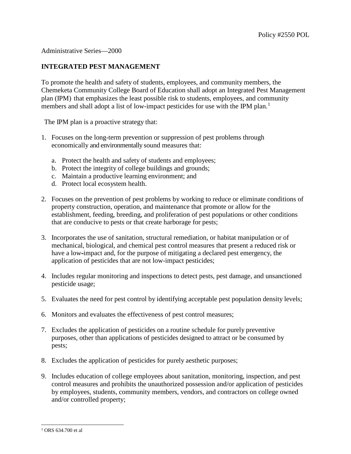## Administrative Series—2000

## **INTEGRATED PEST MANAGEMENT**

To promote the health and safety of students, employees, and community members, the Chemeketa Community College Board of Education shall adopt an Integrated Pest Management plan (IPM) that emphasizes the least possible risk to students, employees, and community members and shall adopt a list of low-impact pesticides for use with the IPM plan.<sup>[1](#page-0-0)</sup>

The IPM plan is a proactive strategy that:

- 1. Focuses on the long-term prevention or suppression of pest problems through economically and environmentally sound measures that:
	- a. Protect the health and safety of students and employees;
	- b. Protect the integrity of college buildings and grounds;
	- c. Maintain a productive learning environment; and
	- d. Protect local ecosystem health.
- 2. Focuses on the prevention of pest problems by working to reduce or eliminate conditions of property construction, operation, and maintenance that promote or allow for the establishment, feeding, breeding, and proliferation of pest populations or other conditions that are conducive to pests or that create harborage for pests;
- 3. Incorporates the use of sanitation, structural remediation, or habitat manipulation or of mechanical, biological, and chemical pest control measures that present a reduced risk or have a low-impact and, for the purpose of mitigating a declared pest emergency, the application of pesticides that are not low-impact pesticides;
- 4. Includes regular monitoring and inspections to detect pests, pest damage, and unsanctioned pesticide usage;
- 5. Evaluates the need for pest control by identifying acceptable pest population density levels;
- 6. Monitors and evaluates the effectiveness of pest control measures;
- 7. Excludes the application of pesticides on a routine schedule for purely preventive purposes, other than applications of pesticides designed to attract or be consumed by pests;
- 8. Excludes the application of pesticides for purely aesthetic purposes;
- 9. Includes education of college employees about sanitation, monitoring, inspection, and pest control measures and prohibits the unauthorized possession and/or application of pesticides by employees, students, community members, vendors, and contractors on college owned and/or controlled property;

<span id="page-0-0"></span><sup>-</sup><sup>1</sup> ORS 634.700 et al